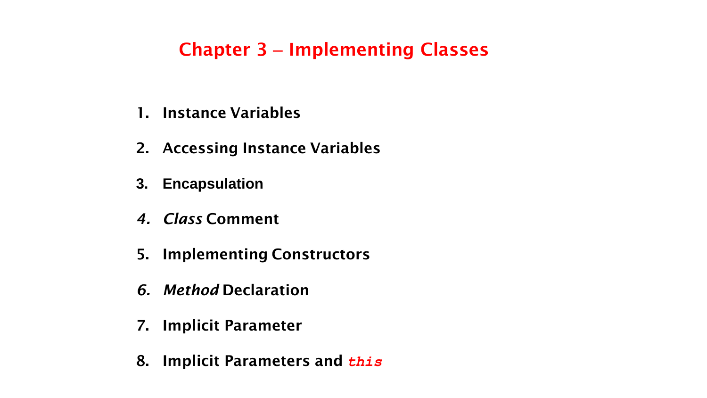# **Chapter 3** – **Implementing Classes**

- **1. Instance Variables**
- **2. Accessing Instance Variables**
- **3. Encapsulation**
- *4. Class* **Comment**
- **5. Implementing Constructors**
- *6. Method* **Declaration**
- **7. Implicit Parameter**
- **8. Implicit Parameters and** *this*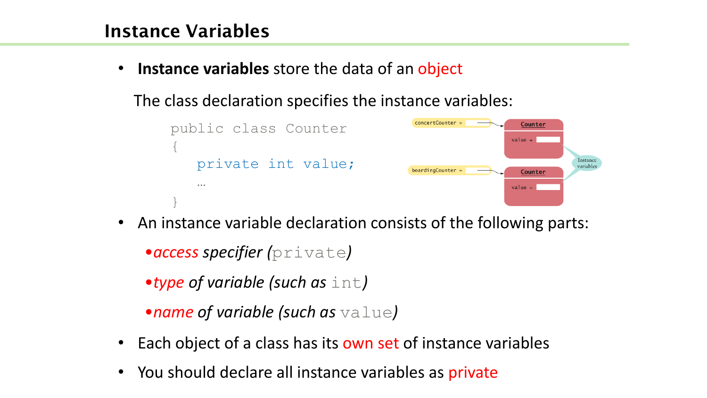# **Instance Variables**

• **Instance variables** store the data of an object

The class declaration specifies the instance variables:



• An instance variable declaration consists of the following parts: •*access specifier (*private*)*

•*type of variable (such as* int*)*

•*name of variable (such as* value*)*

- Each object of a class has its own set of instance variables
- You should declare all instance variables as private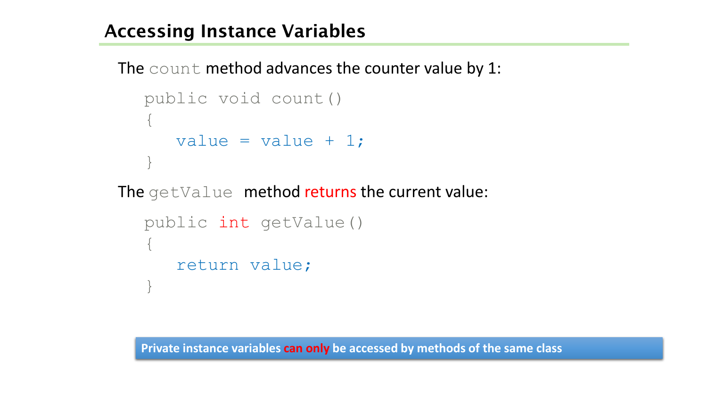# **Accessing Instance Variables**

```
The count method advances the counter value by 1:
```

```
public void count()
{
   value = value + 1;
}
```
The getValue method returns the current value:

```
public int getValue()
{
   return value;
}
```
**Private instance variables can only be accessed by methods of the same class**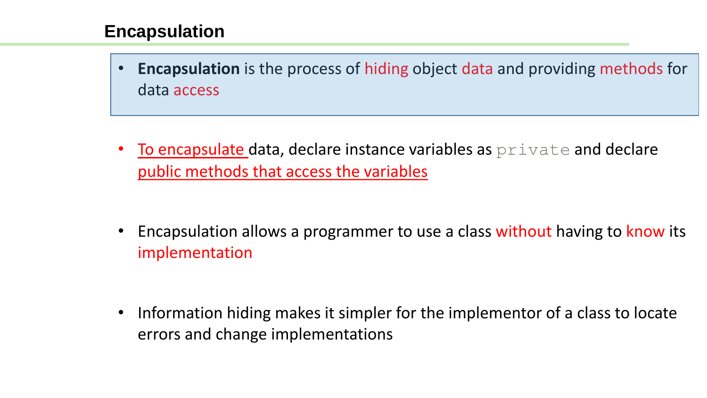#### **Encapsulation**

• **Encapsulation** is the process of hiding object data and providing methods for data access

• To encapsulate data, declare instance variables as  $\text{private}$  and declare public methods that access the variables

• Encapsulation allows a programmer to use a class without having to know its implementation

• Information hiding makes it simpler for the implementor of a class to locate errors and change implementations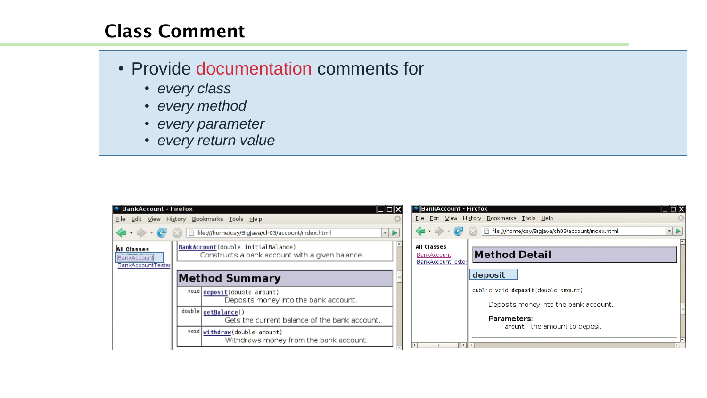# **Class Comment**

- Provide documentation comments for
	- *every class*
	- *every method*
	- *every parameter*
	- *every return value*

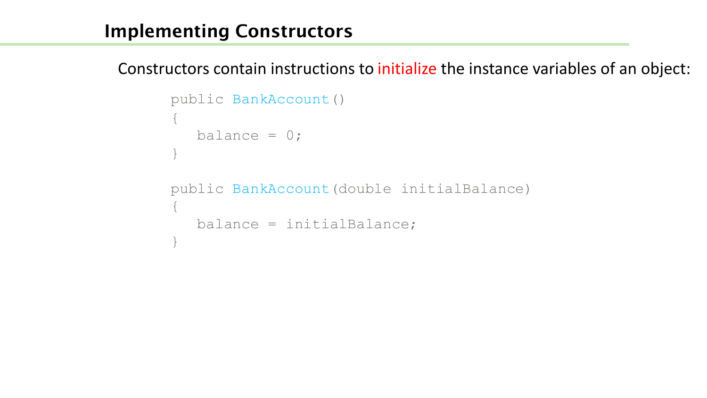### **Implementing Constructors**

Constructors contain instructions to initialize the instance variables of an object:

```
public BankAccount() 
{
  balance = 0;}
public BankAccount(double initialBalance)
{
   balance = initialBalance;
}
```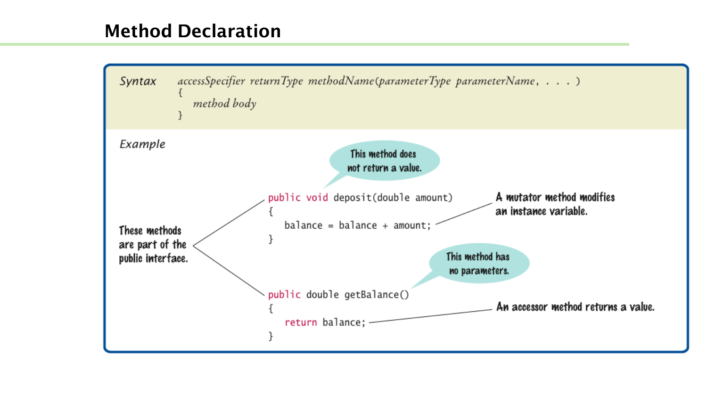# **Method Declaration**

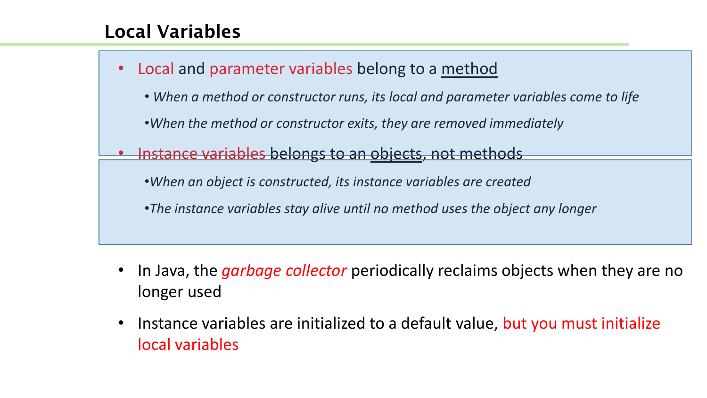# **Local Variables**

- Local and parameter variables belong to a method • *When a method or constructor runs, its local and parameter variables come to life*  •*When the method or constructor exits, they are removed immediately*  Instance variables belongs to an objects, not methods •*When an object is constructed, its instance variables are created*  •*The instance variables stay alive until no method uses the object any longer* 
	- In Java, the *garbage collector* periodically reclaims objects when they are no longer used
	- Instance variables are initialized to a default value, but you must initialize local variables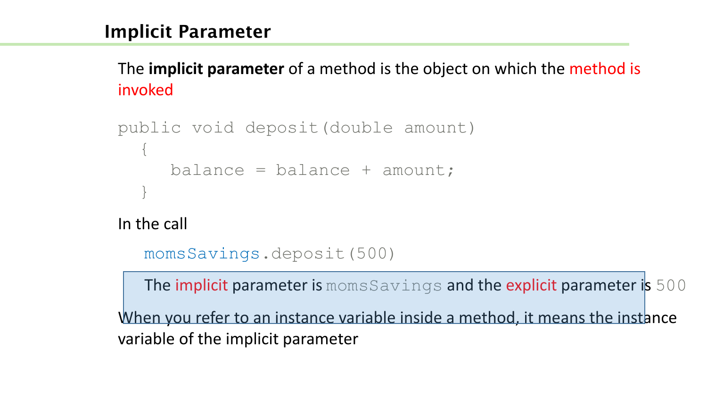# **Implicit Parameter**

The **implicit parameter** of a method is the object on which the method is invoked

```
public void deposit(double amount) 
  {
     balance = balance + amount;}
```
In the call

```
momsSavings.deposit(500)
```
The implicit parameter is momsSavings and the explicit parameter is 500

When you refer to an instance variable inside a method, it means the instance variable of the implicit parameter